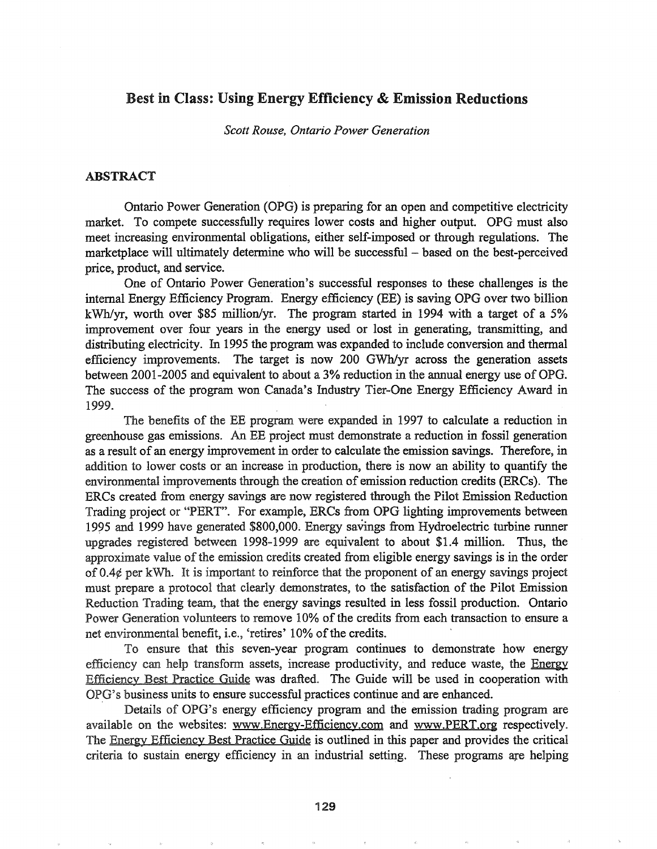# Best in Class: Using Energy Efficiency & Emission Reductions

*Scott Rouse, Ontario Power Generation*

## ABSTRACT

Ontario Power Generation (OPG) is preparing for an open and competitive electricity market. To compete successfully requires lower costs and higher output. OPG must also meet increasing environmental obligations, either self-imposed or through regulations. The marketplace will ultimately determine who will be successful – based on the best-perceived price, product, and service.

One of Ontario Power Generation's successful responses to these challenges is the internal Energy Efficiency Program. Energy efficiency (EE) is saving OPG over two billion kWh/yr, worth over \$85 million/yr.. The program started in 1994 with a target of a 5% improvement over four years in the energy used or lost in generating, transmitting, and distributing electricity. In 1995 the program was expanded to include conversion and thermal efficiency improvements. The target is now 200 GWh/yr across the generation assets between 2001-2005 and equivalent to about a 3% reduction in the annual energy use of OPG. The success of the program won Canada's Industry Tier-One Energy Efficiency Award in 1999~

The benefits of the EE program were expanded in 1997 to calculate a reduction in greenhouse gas emissions. An EE project must demonstrate a reduction in fossil generation as a result of an energy improvement in order to calculate the emission savings. Therefore, in addition to lower costs or an increase in production, there is now an ability to quantify the environmental improvements through the creation of emission reduction credits (ERCs). The ERCs created from energy savings are now registered through the Pilot Emission Reduction Trading project or "PERT". For example, ERCs from OPG lighting improvements between 1995 and 1999 have generated \$800,000. Energy savings from Hydroelectric turbine runner upgrades registered between 1998-1999 are equivalent to about \$1.4 million. Thus, the approximate value of the emission credits created from eligible energy savings is in the order of  $0.4\ell$  per kWh. It is important to reinforce that the proponent of an energy savings project must prepare a protocol that clearly. demonstrates, to the satisfaction of the Pilot Emission Reduction Trading team, that the energy savings resulted in less fossil production. Ontario Power Generation volunteers to remove 10% of the credits from each transaction to ensure a net environmental benefit, i.e., 'retires' 10% of the credits.

To ensure that this seven-year program continues to demonstrate how energy efficiency can help transform assets, increase productivity, and reduce waste, the Energy Efficiency Best Practice Guide was drafted. The Guide will be used in cooperation with OPG's business units to ensure successful practices continue and are enhanced.

Details of OPG's energy efficiency program and the emission trading program are available on the websites: www.Energy-Efficiency.com and www.PERT.org respectively. The Energy Efficiency Best Practice Guide is outlined in this paper and provides the critical criteria to sustain energy efficiency in an industrial setting. These programs are helping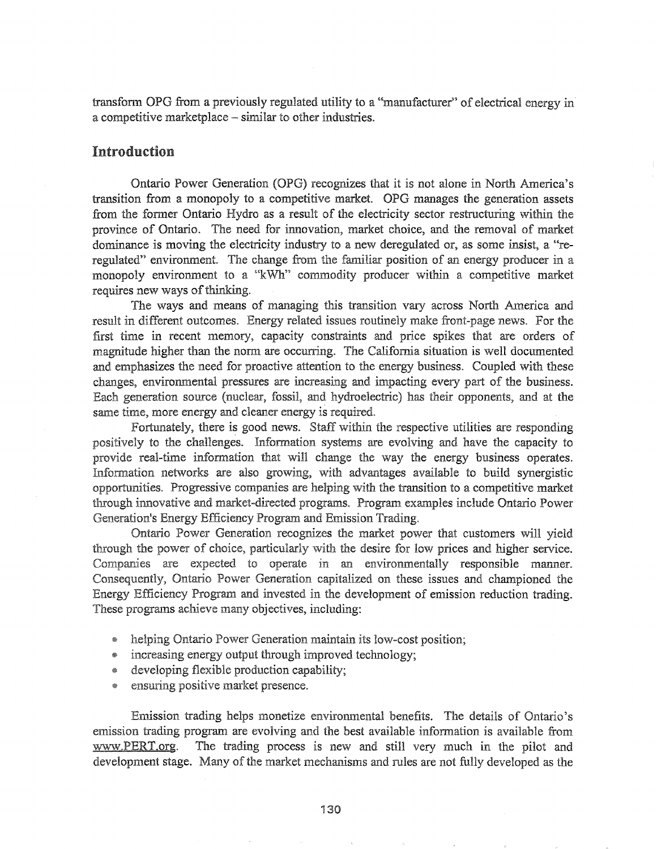transform OPG from a previously regulated utility to a "manufacturer" of electrical energy a competitive marketplace - similar to other industries.

## Introduction

Ontario Power Generation (OPG) recognizes that it is not alone in North America's transition from a monopoly to a competitive market. OPG manages the generation assets from the former Ontario Hydro as a result of the electricity sector restructuring within province of Ontario. The need for innovation, market choice, and the removal of market dominance is moving the electricity industry to a new deregulated or, as some insist, a "reregulated" environment. The change from the familiar position of an energy producer in a monopoly environment to a "kWh" commodity producer within a competitive market requires new ways of thinking.

The ways and means of managing this transition vary across North America and result in different outcomes. Energy related issues routinely make front-page news. For the first time in recent memory, capacity constraints and price spikes that are orders of magnitude higher than the norm are occurring. The California situation is well documented and emphasizes the need for proactive attention to the energy business. Coupled with these changes, environmental pressures are increasing and impacting every part of the business. Each generation source (nuclear, fossil, and hydroelectric) has their opponents, and at the same time, more energy and cleaner energy is required.

Fortunately, there is good news. Staff within the respective utilities are responding positively to the challenges. Information systems are evolving and have the capacity to provide real-time information that will change the way the energy business operates. Information networks are also growing, with advantages available to build synergistic opportunities. Progressive companies are helping with the transition to a competitive market through innovative and market-directed programs. Program examples include Ontario Power Generation's Energy Efficiency Program and Emission Trading.

Ontario Power Generation recognizes the market power that customers will yield through the power of choice, particularly with the desire for low prices and higher service. Companies are expected to operate in an environmentally responsible manner. Consequently, Ontario Power Generation capitalized on these issues and championed the Energy Efficiency Program and invested in the development of emission reduction trading. These programs achieve many objectives, including:

- helping Ontario Power Generation maintain its low-cost position;
- $\bullet$  increasing energy output through improved technology;
- @ developing flexible production capability;
- ensuring positive market presence.

Emission trading helps monetize environmental benefits. The details of Ontario's emission trading program are evolving and the best available information is available from www.PERT.org. The trading process is new and still very much in the pilot and development stage. Many of the market mechanisms and rules are not fully developed as the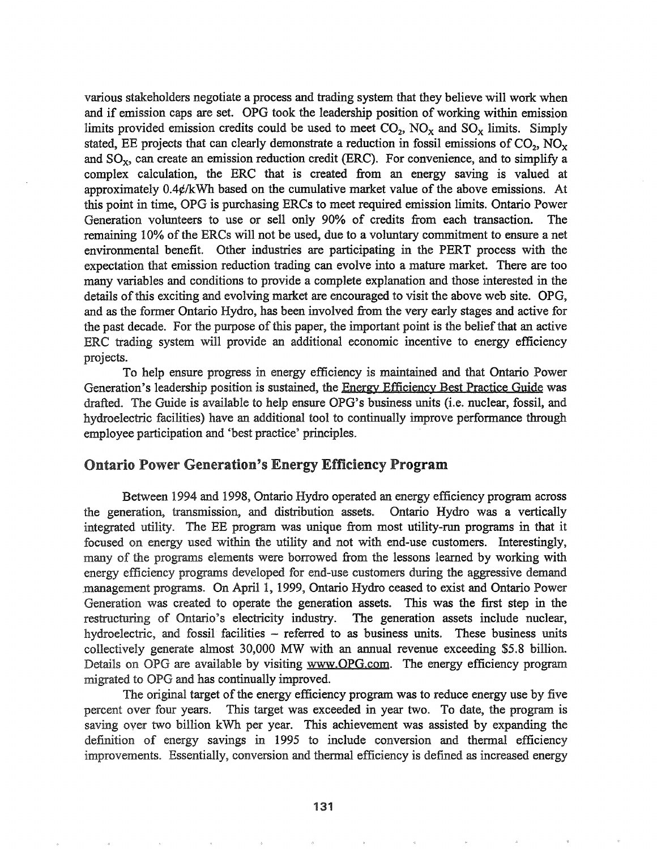various stakeholders negotiate a process and trading system that they believe will work when and if emission caps are set. OPG took the leadership position of working within emission limits provided emission credits could be used to meet  $CO_2$ ,  $NO_x$  and  $SO_x$  limits. Simply stated, EE projects that can clearly demonstrate a reduction in fossil emissions of  $CO<sub>2</sub>$ , NO<sub>x</sub> and  $SO<sub>x</sub>$ , can create an emission reduction credit (ERC). For convenience, and to simplify a complex calculation, theERC that is created from an energy saving is valued at approximately  $0.4\ell/kWh$  based on the cumulative market value of the above emissions. At this point in time, OPG is purchasing ERCs to meet required emission limits. Ontario Power Generation volunteers to use or sell only 90% of credits from each transaction. The remaining 10% ofthe ERCs will not be used, due to a voluntary commitment to ensure a net environmental benefit. Other industries are participating in the PERT process with the expectation that emission reduction trading can evolve into a mature market. There are too many variables and conditions to provide a complete explanation and those interested in the details of this exciting and evolving market are encouraged to visit the above web site. OPG, and as the former Ontario Hydro, has been involved from the very early stages and active for the past decade. For the purpose of this paper, the important point is the belief that an active ERC trading system will provide an additional economic incentive to energy efficiency projects..

To help ensure progress in energy efficiency is maintained and that Ontario Power Generation's leadership position is sustained, the Energy Efficiency Best Practice Guide was drafted. The Guide is available to help ensure OPG's business units (i.e. nuclear, fossil, and hydroelectric facilities) have an additional tool to continually improve performance through employee participation and 'best practice' principles.

## Ontario Power Generation's Energy Efficiency Program

Between 1994 and 1998, Ontario Hydro operated an energy efficiency program across the generation, transmission, and distribution assets. Ontario Hydro was a vertically integrated utility. The EE program was unique from most utility-run programs in that it focused on energy used within the utility and not with end-use customers. Interestingly, many of the programs elements were borrowed from the lessons learned by working with energy efficiency programs developed for end-use customers during the aggressive demand management programs. On April 1, 1999, Ontario Hydro ceased to exist and Ontario Power Generation was created to operate the generation assets. This was the first step in the restructuring of Ontario's electricity industry. The generation assets include nuclear, hydroelectric, and fossil facilities – referred to as business units. These business units collectively generate almost 30,000 MW with an annual revenue exceeding \$5.8 billion. Details on OPG are available by visiting www.OPG.com. The energy efficiency program migrated to OPG and has continually improved.

The original target of the energy efficiency program was to reduce energy use by five percent over four years. This target was exceeded in year two. To date, the program is saving over two billion kWh per year. This achievement was assisted by expanding the definition of energy savings in 1995 to include conversion and thermal efficiency improvements. Essentially, conversion and thermal efficiency is defined as increased energy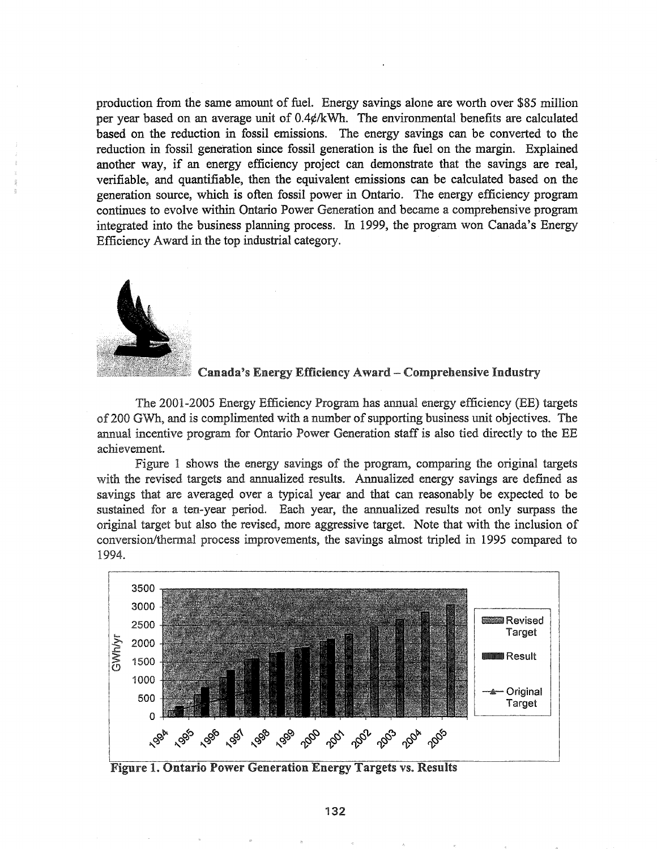production from the same amount of fuel. Energy savings alone are worth over \$85 million per year based on an average unit of  $0.4$ ¢/kWh. The environmental benefits are calculated based on the reduction in fossil emissions. The energy savings can be converted to the reduction in fossil generation since fossil generation is the fuel on the margin. Explained another way, if an energy efficiency project can demonstrate that the savings are real, verifiable, and quantifiable, then the equivalent emissions can be calculated based on the generation source, which is often fossil power in Ontario. The energy efficiency program continues to evolve within Ontario Power Generation and became a comprehensive program integrated into the business planning process. In 1999, the program won Canada's Energy Efficiency Award in the top industrial category.



Canada's Energy Efficiency Award - Comprehensive Industry

2001-2005 Energy Efficiency Program has annual energy efficiency (EE) targets of 200 GWh, and is complimented with a number of supporting business unit objectives. The annual incentive program for Ontario Power Generation staff is also tied directly to the EE achievement..

Figure 1 shows the energy savings of the program, comparing the original targets with the revised targets and annualized results. Annualized energy savings are defined as savings that are averaged over a typical year and that can reasonably be expected to be sustained for a ten-year period. Each year, the annualized results not only surpass the original target but also the revised, more aggressive target. Note that with the inclusion of conversion/thermal process improvements, the savings almost tripled in 1995 compared to 1994.



Figure 1. Ontario Power Generation Energy Targets vs. Results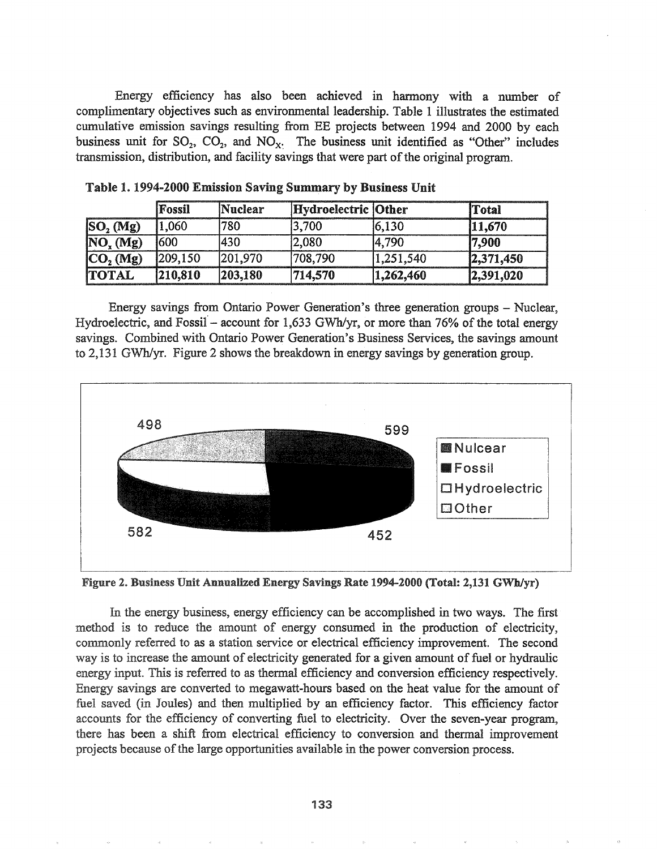Energy efficiency has also been achieved in harmony with a number of complimentary objectives such as environmental leadership. Table 1 illustrates the estimated cumulative emission savings resulting from EE projects between 1994 and 2000 by each business unit for  $SO_2$ ,  $CO_2$ , and  $NO_X$ . The business unit identified as "Other" includes transmission, distribution, and facility savings that were part of the original program.

|              | Fossil         | Nuclear | Hydroelectric Other |           | <b>Total</b> |
|--------------|----------------|---------|---------------------|-----------|--------------|
| SO, (Mg)     | 11.060         | 780     | 3.700               | 6,130     | 11,670       |
| NO, (Mg)     | 1600           | 430     | 2.080               | 4.790     | 17.900       |
| CO, (Mg)     | 209,150        | 201,970 | 708,790             | 1,251,540 | 2,371,450    |
| <b>TOTAL</b> | <b>210,810</b> | 203,180 | 714,570             | 1,262,460 | 2,391,020    |

Table 1. 1994-2000 Emission Saving Summary by Business Unit

Energy savings from Ontario Power Generation's three generation groups - Nuclear, Hydroelectric, and Fossil – account for 1,633 GWh/yr, or more than 76% of the total energy savings. Combined with Ontario Power Generation's Business Services, the savings amount to 2,131 GWh/yr. Figure 2 shows the breakdown in energy savings by generation group.





In the energy business, energy efficiency can be accomplished in two ways. The first method is to reduce the amount of energy consumed in the production of electricity, commonly referred to as a station service or electrical efficiency improvement. The second way is to increase the amount of electricity generated for a given amount of fuel or hydraulic energy input. This is referred to as thermal efficiency and conversion efficiency respectively. Energy savings are converted to megawatt-hours based on the heat value for the amount of fuel saved (in Joules) and then multiplied by an efficiency factor. This efficiency factor accounts for the efficiency of converting fuel to electricity. Over the seven-year program, there has been a shift from electrical efficiency to conversion and thermal improvement projects because of the large opportunities available in the power conversion process.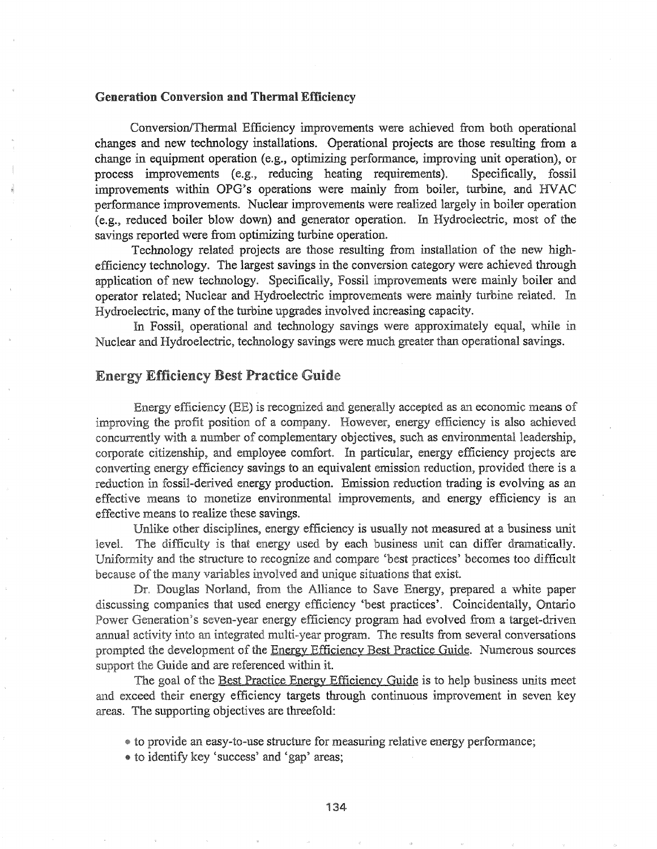#### Generation Conversion and Thermal Efficiency

Conversion/Thermal Efficiency improvements were achieved from both operational changes and new technology installations. Operational projects are those resulting from a change in equipment operation (e.g., optimizing perfonnance, improving unit operation), or process improvements (e.g., reducing heating requirements). Specifically, fossil improvements within OPG's operations were mainly from boiler, turbine, and HVAC perfonnance improvements. Nuclear improvements were realized largely in boiler operation (e.g., reduced boiler blow down) and generator operation. In Hydroelectric, most of the savings reported were from optimizing turbine operation.

Technology related projects are those resulting from installation of the new highefficiency technology. The largest savings in the conversion category were achieved through application of new technology.. Specifically, Fossil improvements were mainly boiler and operator related; Nuclear and Hydroelectric improvements were mainly turbine related.. In Hydroelectric, many of the turbine upgrades involved increasing capacity.

In Fossil, operational and technology savings were approximately equal, while in Nuclear and Hydroelectric, technology savings were much greater than operational savings..

### Energy Efficiency Best Practice Guide

Energy efficiency (EE) is recognized and generally accepted as an economic means of improving the profit position of a company. However, energy efficiency is also achieved concurrently with a number of complementary objectives, such as environmental leadership, corporate citizenship, and employee comfort. In particular, energy efficiency projects are converting energy efficiency savings to an equivalent emission reduction, provided there is a reduction in fossil-derived energy production. Emission reduction trading is evolving as an effective means to monetize environmental improvements, and energy efficiency is an effective means to realize these savings.

Unlike other disciplines, energy efficiency is usually not measured at a business unit level. The difficulty is that energy used by each business unit can differ dramatically. Uniformity and the structure to recognize and compare 'best practices' becomes too difficult because of the many variables involved and unique situations that exist.

Dr. Douglas Norland, from the Alliance to Save Energy, prepared a white paper discussing companies that used energy efficiency 'best practices'. Coincidentally, Ontario Power Generation's seven-year energy efficiency program had evolved from a target-driven annual activity into an integrated multi-year program. The results from several conversations prompted the development of the Energy Efficiency Best Practice Guide. Numerous sources support the Guide and are referenced within it.

The goal of the Best Practice Energy Efficiency Guide is to help business units meet and exceed their energy efficiency targets through continuous improvement in seven key areas. The supporting objectives are threefold:

- to provide an easy-to-use structure for measuring relative energy performance;
- to identify key 'success' and 'gap' areas;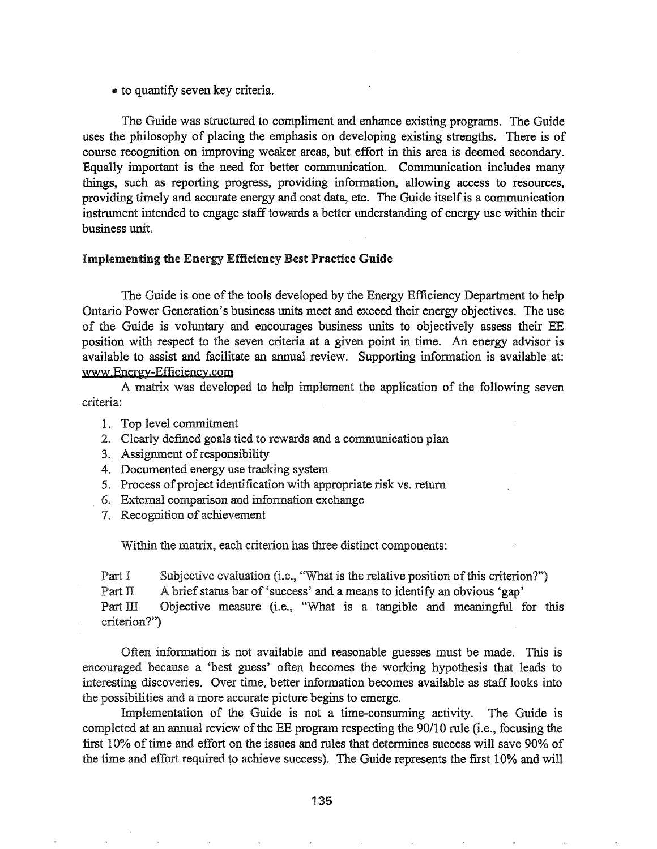• to quantify seven key criteria.

The Guide was structured to compliment and enhance existing programs. The Guide uses the philosophy of placing the emphasis on developing existing strengths. There is of course recognition on improving weaker areas, but effort in this area is deemed secondary. Equally important is the need for better communication. Communication includes many things, such as reporting progress, providing information, allowing access to resources, providing timely and accurate energy and cost data, etc. The Guide itselfis a communication instrument intended to engage staff towards a better understanding of energy use within their business unit.

#### Implementing the Energy Efficiency Best Practice Guide

The Guide is one of the tools developed by the Energy Efficiency Department to help Ontario Power Generation's business units meet and exceed their energy objectives. The use of the Guide is voluntary and encourages business units to objectively assess their EE position with respect to the seven criteria at a given point in time. An energy advisor is available to assist and facilitate an annual review. Supporting information is available at: www.Energy-Efficiency.com

A matrix was developed to help implement the application of the following seven .criteria:

- I. Top level commitment
- 2. Clearly defined goals tied to rewards and a communication plan
- 3. Assignment of responsibility
- 4. Documented energy use tracking system
- 5. Process of project identification with appropriate risk vs. return
- 6. External comparison and information exchange
- 7. Recognition of achievement

Within the matrix, each criterion has three distinct components:

Part I Subjective evaluation (i.e., "What is the relative position of this criterion?") Part II A brief status bar of 'success' and a means to identify an obvious 'gap' Part  $III$  Objective measure (i.e., "What is a tangible and meaningful for this criterion?")

Often information is not available and reasonable guesses must be made. This is encouraged because a 'best guess' often becomes the working hypothesis that leads to interesting discoveries. Over time, better information becomes available as staff looks into the possibilities and a more accurate picture begins to emerge.

Implementation of the Guide is not a time-consuming activity. The Guide is completed at an annual review of the EE program respecting the 90/10 rule (i.e., focusing the first 10% of time and effort on the issues and rules that determines success will save 90% of the time and effort required to achieve success). The Guide represents the first 10% and will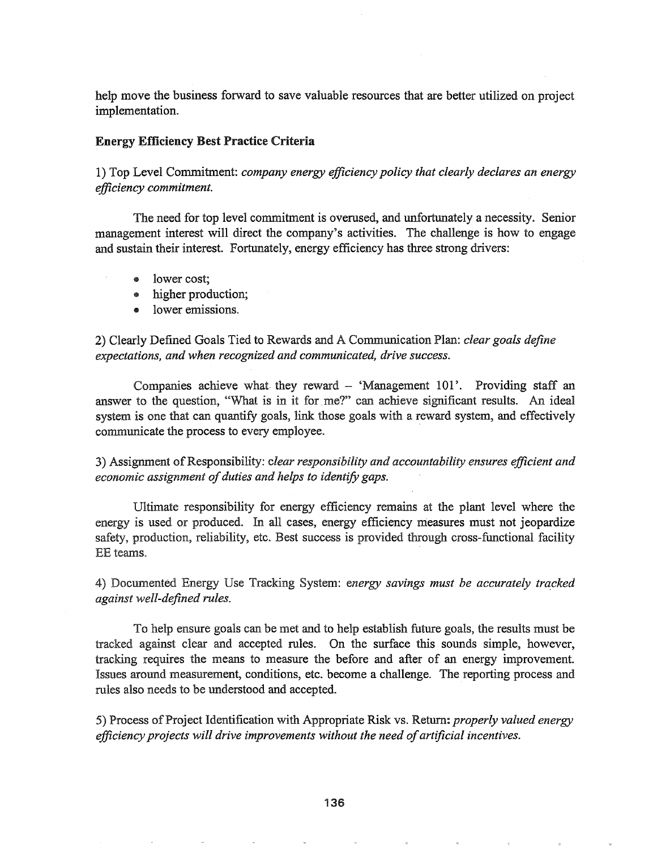help move the business forward to save valuable resources that are better utilized on project implementation..

### Energy Efficiency Best Practice Criteria

1) Top Level Commitment: *company energy efficiency policy that clearly declares an energy efficiency commitment..*

The need for top level commitment is overused, and unfortunately a necessity. Senior management interest will direct the company's activities.. The challenge is how to engage and sustain their interest. Fortunately, energy efficiency has three strong drivers:

- e lower cost;
- higher production;
- lower emissions.

2) Clearly Defined Goals Tied to Rewards and A Communication Plan: *clear goals define expectations, and when recognized and communicated, drive success..*

Companies achieve what. they reward - 'Management 101'.. Providing staff an answer to the question, "What is in it for me?" can achieve significant results. An ideal system is one that can quantify goals, link those goals with a reward system, and effectively communicate the process to every employee.

3) Assignment ofResponsibility: *clear responsibility and accountability ensures efficient and economic assignment ofduties and helps to identify gaps.*

Ultimate responsibility for energy efficiency remains at the plant level where the energy is used or produced. In all cases, energy efficiency measures must not jeopardize safety, production, reliability, etc. Best success is provided through cross-functional facility EE teams.

4) Documented Energy Use Tracking System: *energy savings must be accurately tracked against well-defined rules.*

To help ensure goals can be met and to help establish future goals, the results must be tracked against clear and accepted rules.. On the surface this sounds simple, however, tracking requires the means to measure the before and after of an energy improvement. Issues around measurement, conditions, etc. become a challenge. The reporting process and rules also needs to be understood and accepted..

5) Process ofProject Identification with Appropriate Risk vs.. Return: *properly valued energy efficiency projects will drive improvements without the need ofartificial incentives..*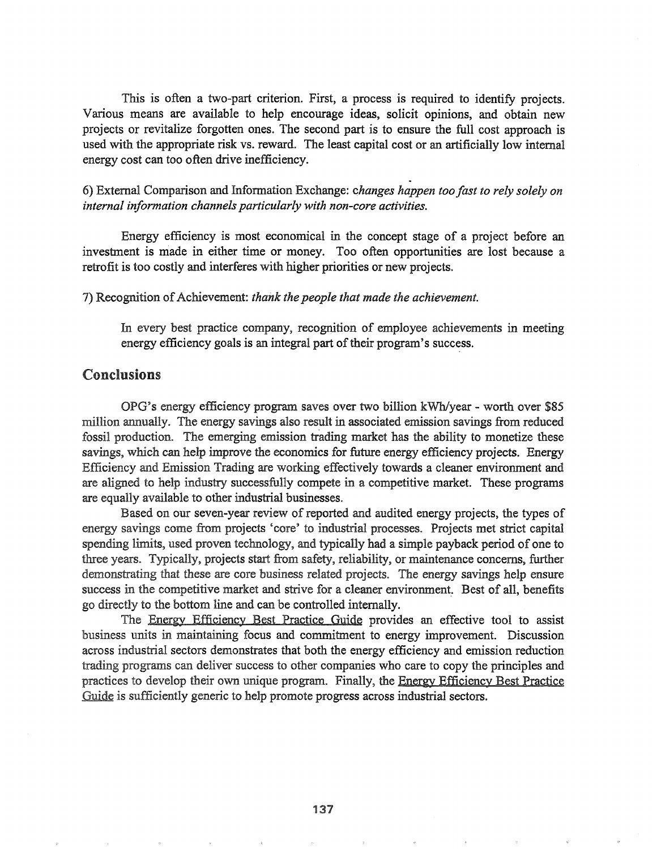This is often a two-part criterion. First, a process is required to identify projects. Various means are available to help encourage ideas, solicit opinions, and obtain new projects or revitalize forgotten ones. The second part is to ensure the full cost approach is used with the appropriate risk vs. reward. The least capital cost or an artificially low internal energy cost can too often drive inefficiency.

# 6) External Comparison and Information Exchange: *changes happen too fast to rely solely on internal information channels particularly with non-core activities.*

..

Energy efficiency is most economical in the concept stage of a project before an investment is made in either time or money. Too often opportunities are lost because a retrofit is too costly and interferes with higher priorities or new projects.

#### 7) Recognition of Achievement: *thank the people that made the achievement*.

In every best practice company, recognition of employee achievements in meeting energy efficiency goals is an integral part of their program's success.

## Conclusions

OPG's energy efficiency program saves over two billion kWh/year - worth over \$85 million annually. The energy savings also result in associated emission savings from reduced fossil production. The emerging emission trading market has the ability to monetize these savings, which can help improve the economics for future energy efficiency projects. Energy Efficiency and Emission Trading are working effectively towards a cleaner environment and are aligned to help industry successfully compete in a competitive market. These programs are equally available to other industrial businesses.

Based on our seven-year review of reported and audited energy projects, the types of energy savings come from projects 'core' to industrial processes. Projects met strict capital spending limits, used proven technology, and typically had a simple payback period of one to three years. Typically, projects start from safety, reliability, or maintenance concerns, further demonstrating that these are core business related projects. The energy savings help ensure success in the competitive market and strive for a cleaner environment. Best of all, benefits go directly to the bottom line and can be controlled internally.

The Energy Efficiency Best Practice Guide provides an effective tool to assist business units in maintaining focus and commitment to energy improvement. Discussion across industrial sectors demonstrates that both the energy efficiency and emission reduction trading programs can deliver success to other companies who care to copy the principles and practices to develop their own unique program. Finally, the Energy Efficiency Best Practice Guide is sufficiently generic to help promote progress across industrial sectors.